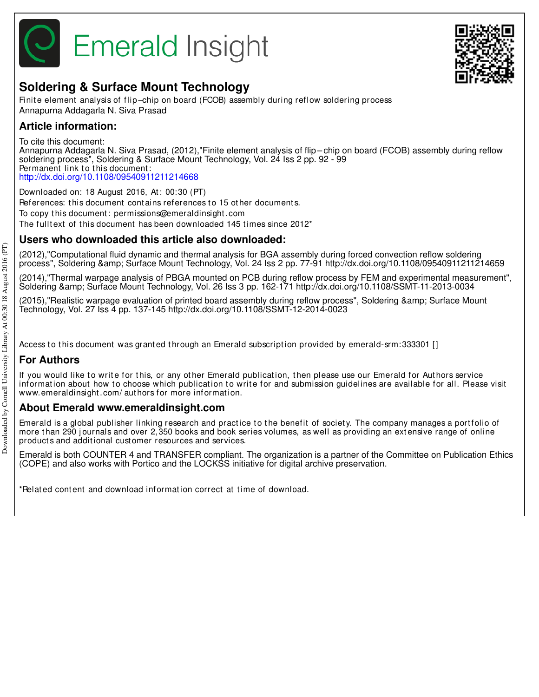



## **Soldering & Surface Mount Technology**

Finite element analysis of flip-chip on board (FCOB) assembly during reflow soldering process Annapurna Addagarla N. Siva Prasad

## **Article information:**

To cite this document:

Annapurna Addagarla N. Siva Prasad, (2012),"Finite element analysis of flip – chip on board (FCOB) assembly during reflow soldering process", Soldering & Surface Mount Technology, Vol. 24 Iss 2 pp. 92 - 99 Permanent link to this document: http://dx.doi.org/10.1108/09540911211214668

Downloaded on: 18 August 2016, At : 00:30 (PT) References: this document contains references to 15 other documents. To copy t his document : permissions@emeraldinsight .com The fulltext of this document has been downloaded 145 times since  $2012<sup>*</sup>$ 

## **Users who downloaded this article also downloaded:**

(2012),"Computational fluid dynamic and thermal analysis for BGA assembly during forced convection reflow soldering process", Soldering & amp; Surface Mount Technology, Vol. 24 Iss 2 pp. 77-91 http://dx.doi.org/10.1108/09540911211214659

(2014),"Thermal warpage analysis of PBGA mounted on PCB during reflow process by FEM and experimental measurement", Soldering & Surface Mount Technology, Vol. 26 Iss 3 pp. 162-171 http://dx.doi.org/10.1108/SSMT-11-2013-0034

(2015),"Realistic warpage evaluation of printed board assembly during reflow process", Soldering & amp; Surface Mount Technology, Vol. 27 Iss 4 pp. 137-145 http://dx.doi.org/10.1108/SSMT-12-2014-0023

Access to this document was granted through an Emerald subscription provided by emerald-srm:333301 []

## **For Authors**

If you would like to write for this, or any other Emerald publication, then please use our Emerald for Authors service information about how to choose which publication to write for and submission guidelines are available for all. Please visit www.emeraldinsight .com/ aut hors for more informat ion.

### **About Emerald www.emeraldinsight.com**

Emerald is a global publisher linking research and practice to the benefit of society. The company manages a portfolio of more than 290 journals and over 2,350 books and book series volumes, as well as providing an extensive range of online product s and addit ional cust omer resources and services.

Emerald is both COUNTER 4 and TRANSFER compliant. The organization is a partner of the Committee on Publication Ethics (COPE) and also works with Portico and the LOCKSS initiative for digital archive preservation.

\*Relat ed cont ent and download informat ion correct at t ime of download.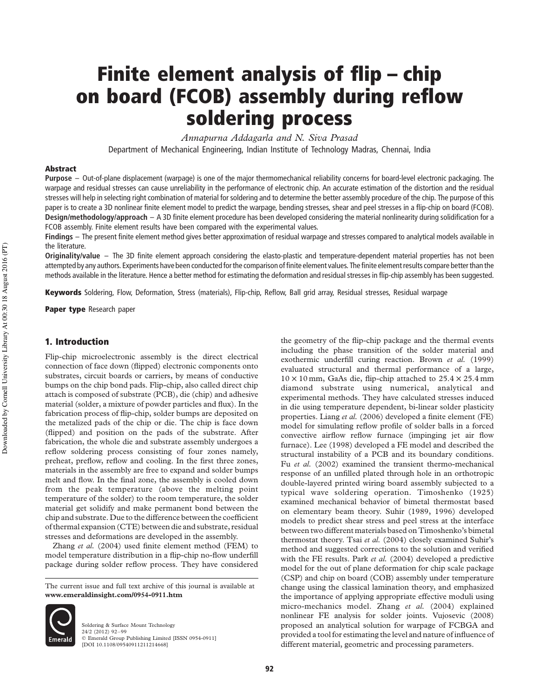# Finite element analysis of flip – chip on board (FCOB) assembly during reflow soldering process

Annapurna Addagarla and N. Siva Prasad Department of Mechanical Engineering, Indian Institute of Technology Madras, Chennai, India

#### Abstract

Purpose – Out-of-plane displacement (warpage) is one of the major thermomechanical reliability concerns for board-level electronic packaging. The warpage and residual stresses can cause unreliability in the performance of electronic chip. An accurate estimation of the distortion and the residual stresses will help in selecting right combination of material for soldering and to determine the better assembly procedure of the chip. The purpose of this paper is to create a 3D nonlinear finite element model to predict the warpage, bending stresses, shear and peel stresses in a flip-chip on board (FCOB). Design/methodology/approach – A 3D finite element procedure has been developed considering the material nonlinearity during solidification for a FCOB assembly. Finite element results have been compared with the experimental values.

Findings – The present finite element method gives better approximation of residual warpage and stresses compared to analytical models available in the literature.

Originality/value – The 3D finite element approach considering the elasto-plastic and temperature-dependent material properties has not been attempted by any authors. Experiments have been conducted for the comparison of finite element values. The finite element results compare better than the methods available in the literature. Hence a better method for estimating the deformation and residual stresses in flip-chip assembly has been suggested.

Keywords Soldering, Flow, Deformation, Stress (materials), Flip-chip, Reflow, Ball grid array, Residual stresses, Residual warpage

Paper type Research paper

#### 1. Introduction

Flip-chip microelectronic assembly is the direct electrical connection of face down (flipped) electronic components onto substrates, circuit boards or carriers, by means of conductive bumps on the chip bond pads. Flip-chip, also called direct chip attach is composed of substrate (PCB), die (chip) and adhesive material (solder, a mixture of powder particles and flux). In the fabrication process of flip-chip, solder bumps are deposited on the metalized pads of the chip or die. The chip is face down (flipped) and position on the pads of the substrate. After fabrication, the whole die and substrate assembly undergoes a reflow soldering process consisting of four zones namely, preheat, preflow, reflow and cooling. In the first three zones, materials in the assembly are free to expand and solder bumps melt and flow. In the final zone, the assembly is cooled down from the peak temperature (above the melting point temperature of the solder) to the room temperature, the solder material get solidify and make permanent bond between the chip and substrate. Due to the difference between the coefficient of thermal expansion (CTE) between die and substrate, residual stresses and deformations are developed in the assembly.

Zhang et al. (2004) used finite element method (FEM) to model temperature distribution in a flip-chip no-flow underfill package during solder reflow process. They have considered

The current issue and full text archive of this journal is available at www.emeraldinsight.com/0954-0911.htm



Soldering & Surface Mount Technology 24/2 (2012) 92–99 q Emerald Group Publishing Limited [ISSN 0954-0911] [DOI 10.1108/09540911211214668] the geometry of the flip-chip package and the thermal events including the phase transition of the solder material and exothermic underfill curing reaction. Brown et al. (1999) evaluated structural and thermal performance of a large,  $10 \times 10$  mm, GaAs die, flip-chip attached to  $25.4 \times 25.4$  mm diamond substrate using numerical, analytical and experimental methods. They have calculated stresses induced in die using temperature dependent, bi-linear solder plasticity properties. Liang et al. (2006) developed a finite element (FE) model for simulating reflow profile of solder balls in a forced convective airflow reflow furnace (impinging jet air flow furnace). Lee (1998) developed a FE model and described the structural instability of a PCB and its boundary conditions. Fu et al. (2002) examined the transient thermo-mechanical response of an unfilled plated through hole in an orthotropic double-layered printed wiring board assembly subjected to a typical wave soldering operation. Timoshenko (1925) examined mechanical behavior of bimetal thermostat based on elementary beam theory. Suhir (1989, 1996) developed models to predict shear stress and peel stress at the interface between two different materials based on Timoshenko's bimetal thermostat theory. Tsai et al. (2004) closely examined Suhir's method and suggested corrections to the solution and verified with the FE results. Park et al. (2004) developed a predictive model for the out of plane deformation for chip scale package (CSP) and chip on board (COB) assembly under temperature change using the classical lamination theory, and emphasized the importance of applying appropriate effective moduli using micro-mechanics model. Zhang et al. (2004) explained nonlinear FE analysis for solder joints. Vujosevic (2008) proposed an analytical solution for warpage of FCBGA and provided a tool for estimating the level and nature of influence of different material, geometric and processing parameters.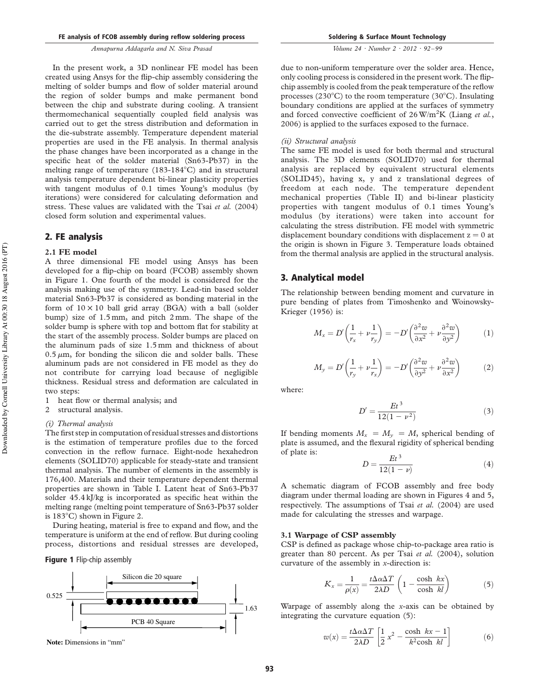In the present work, a 3D nonlinear FE model has been created using Ansys for the flip-chip assembly considering the melting of solder bumps and flow of solder material around the region of solder bumps and make permanent bond between the chip and substrate during cooling. A transient thermomechanical sequentially coupled field analysis was carried out to get the stress distribution and deformation in the die-substrate assembly. Temperature dependent material properties are used in the FE analysis. In thermal analysis the phase changes have been incorporated as a change in the specific heat of the solder material (Sn63-Pb37) in the melting range of temperature  $(183-184^{\circ}C)$  and in structural analysis temperature dependent bi-linear plasticity properties with tangent modulus of 0.1 times Young's modulus (by iterations) were considered for calculating deformation and stress. These values are validated with the Tsai et al. (2004) closed form solution and experimental values.

#### 2. FE analysis

#### 2.1 FE model

A three dimensional FE model using Ansys has been developed for a flip-chip on board (FCOB) assembly shown in Figure 1. One fourth of the model is considered for the analysis making use of the symmetry. Lead-tin based solder material Sn63-Pb37 is considered as bonding material in the form of  $10 \times 10$  ball grid array (BGA) with a ball (solder bump) size of 1.5 mm, and pitch 2 mm. The shape of the solder bump is sphere with top and bottom flat for stability at the start of the assembly process. Solder bumps are placed on the aluminum pads of size 1.5 mm and thickness of about  $0.5 \mu m$ , for bonding the silicon die and solder balls. These aluminum pads are not considered in FE model as they do not contribute for carrying load because of negligible thickness. Residual stress and deformation are calculated in two steps:

- 1 heat flow or thermal analysis; and
- 2 structural analysis.

#### (i) Thermal analysis

The first step in computation of residual stresses and distortions is the estimation of temperature profiles due to the forced convection in the reflow furnace. Eight-node hexahedron elements (SOLID70) applicable for steady-state and transient thermal analysis. The number of elements in the assembly is 176,400. Materials and their temperature dependent thermal properties are shown in Table I. Latent heat of Sn63-Pb37 solder 45.4 kJ/kg is incorporated as specific heat within the melting range (melting point temperature of Sn63-Pb37 solder is  $183^{\circ}$ C) shown in Figure 2.

During heating, material is free to expand and flow, and the temperature is uniform at the end of reflow. But during cooling process, distortions and residual stresses are developed,

#### Figure 1 Flip-chip assembly



**Note:** Dimensions in "mm"

Soldering & Surface Mount Technology

Volume 24 · Number 2 · 2012 · 92 –99

due to non-uniform temperature over the solder area. Hence, only cooling process is considered in the present work. The flipchip assembly is cooled from the peak temperature of the reflow processes (230 $\textdegree$ C) to the room temperature (30 $\textdegree$ C). Insulating boundary conditions are applied at the surfaces of symmetry and forced convective coefficient of  $26 \text{ W/m}^2 \text{K}$  (Liang *et al.*, 2006) is applied to the surfaces exposed to the furnace.

#### (ii) Structural analysis

The same FE model is used for both thermal and structural analysis. The 3D elements (SOLID70) used for thermal analysis are replaced by equivalent structural elements (SOLID45), having x, y and z translational degrees of freedom at each node. The temperature dependent mechanical properties (Table II) and bi-linear plasticity properties with tangent modulus of 0.1 times Young's modulus (by iterations) were taken into account for calculating the stress distribution. FE model with symmetric displacement boundary conditions with displacement  $z = 0$  at the origin is shown in Figure 3. Temperature loads obtained from the thermal analysis are applied in the structural analysis.

#### 3. Analytical model

The relationship between bending moment and curvature in pure bending of plates from Timoshenko and Woinowsky-Krieger (1956) is:

$$
M_x = D' \left( \frac{1}{r_x} + \nu \frac{1}{r_y} \right) = -D' \left( \frac{\partial^2 w}{\partial x^2} + \nu \frac{\partial^2 w}{\partial y^2} \right) \tag{1}
$$

$$
M_{y} = D' \left(\frac{1}{r_{y}} + \nu \frac{1}{r_{x}}\right) = -D' \left(\frac{\partial^{2} w}{\partial y^{2}} + \nu \frac{\partial^{2} w}{\partial x^{2}}\right)
$$
 (2)

where:

$$
D' = \frac{Et^3}{12(1 - \nu^2)}\tag{3}
$$

If bending moments  $M_x = M_y = M$ , spherical bending of plate is assumed, and the flexural rigidity of spherical bending of plate is:

$$
D = \frac{Et^3}{12(1-\nu)}\tag{4}
$$

A schematic diagram of FCOB assembly and free body diagram under thermal loading are shown in Figures 4 and 5, respectively. The assumptions of Tsai et al. (2004) are used made for calculating the stresses and warpage.

#### 3.1 Warpage of CSP assembly

CSP is defined as package whose chip-to-package area ratio is greater than 80 percent. As per Tsai et al. (2004), solution curvature of the assembly in x-direction is:

$$
K_x = \frac{1}{\rho(x)} = \frac{t\Delta\alpha\Delta T}{2\lambda D} \left(1 - \frac{\cosh kx}{\cosh kl}\right) \tag{5}
$$

Warpage of assembly along the  $x$ -axis can be obtained by integrating the curvature equation (5):

$$
w(x) = \frac{t\Delta\alpha\Delta T}{2\lambda D} \left[ \frac{1}{2} x^2 - \frac{\cosh\ kx - 1}{k^2 \cosh\ kl} \right]
$$
 (6)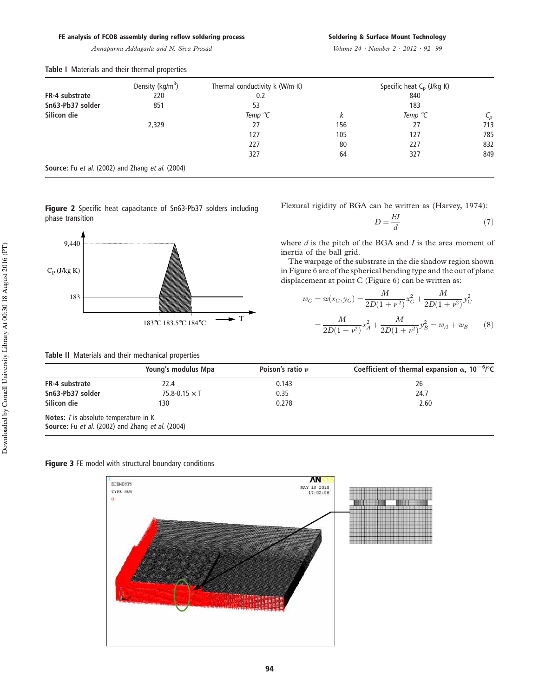|  |  |  | FE analysis of FCOB assembly during reflow soldering process |  |  |  |  |
|--|--|--|--------------------------------------------------------------|--|--|--|--|
|--|--|--|--------------------------------------------------------------|--|--|--|--|

Volume 24 · Number 2 · 2012 · 92 –99

|                                                  | Density (kg/m <sup>3</sup> ) | Thermal conductivity k (W/m K) |     | Specific heat $C_p$ (J/kg K) |                 |  |  |
|--------------------------------------------------|------------------------------|--------------------------------|-----|------------------------------|-----------------|--|--|
| FR-4 substrate<br>220<br>Sn63-Pb37 solder<br>851 |                              | 0.2                            |     | 840                          |                 |  |  |
|                                                  |                              | 53                             |     | 183                          |                 |  |  |
| Silicon die                                      |                              | Temp $\mathrm{C}$              |     | Temp $\mathrm{C}$            | $\mathcal{C}_p$ |  |  |
|                                                  | 2,329                        | 27                             | 156 | 27                           | 713             |  |  |
|                                                  |                              | 127                            | 105 | 127                          | 785             |  |  |
|                                                  |                              | 227                            | 80  | 227                          | 832             |  |  |
|                                                  |                              | 327                            | 64  | 327                          | 849             |  |  |
| Cource: Eu et al (2002) and 7hange et al (2004)  |                              |                                |     |                              |                 |  |  |

Table I Materials and their thermal properties

Source: Fu et al. (2002) and Zhang et al. (2004)

Figure 2 Specific heat capacitance of Sn63-Pb37 solders including phase transition



| Table II Materials and their mechanical properties |
|----------------------------------------------------|
|----------------------------------------------------|

Flexural rigidity of BGA can be written as (Harvey, 1974):

$$
D = \frac{EI}{d} \tag{7}
$$

where  $d$  is the pitch of the BGA and  $I$  is the area moment of inertia of the ball grid.

The warpage of the substrate in the die shadow region shown in Figure 6 are of the spherical bending type and the out of plane displacement at point C (Figure 6) can be written as:

$$
w_C = w(x_C, y_C) = \frac{M}{2D(1 + \nu^2)} x_C^2 + \frac{M}{2D(1 + \nu^2)} y_C^2
$$
  
= 
$$
\frac{M}{2D(1 + \nu^2)} x_A^2 + \frac{M}{2D(1 + \nu^2)} y_B^2 = w_A + w_B
$$
 (8)

|                                                     | Young's modulus Mpa    | Poison's ratio $\nu$ | Coefficient of thermal expansion $\alpha$ , 10 <sup>-6</sup> /°C |
|-----------------------------------------------------|------------------------|----------------------|------------------------------------------------------------------|
| FR-4 substrate                                      | 22.4                   | 0.143                | 26                                                               |
| Sn63-Pb37 solder                                    | $75.8 - 0.15 \times T$ | 0.35                 | 24.7                                                             |
| Silicon die                                         | 130                    | 0.278                | 2.60                                                             |
| <b>Notes:</b> <i>T</i> is absolute temperature in K |                        |                      |                                                                  |
| Source: Fu et al. (2002) and Zhang et al. (2004)    |                        |                      |                                                                  |



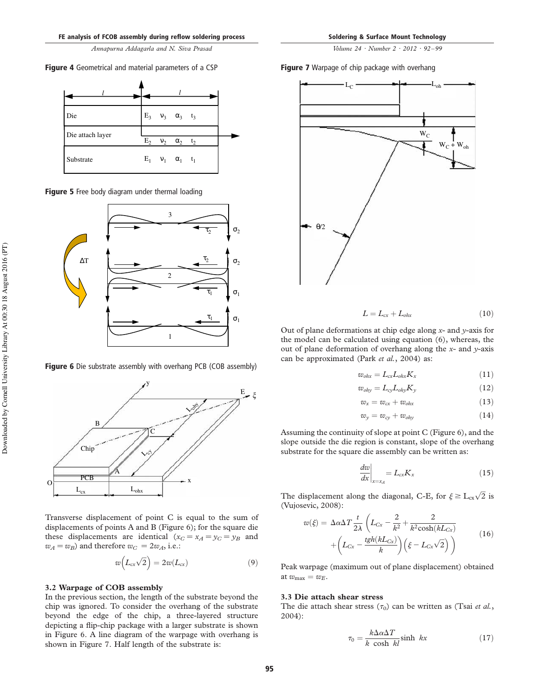Figure 4 Geometrical and material parameters of a CSP



Figure 5 Free body diagram under thermal loading



Figure 6 Die substrate assembly with overhang PCB (COB assembly)

y

 $\sim$ 

C



 $L_{ohx}$ 

A

 $\sim$  PCB  $\sim$  x

$$
w(L_{cx}\sqrt{2}) = 2w(L_{cx})
$$
\n(9)

<sup>L</sup>ohy

E *x*

#### 3.2 Warpage of COB assembly

PCB  $L_{c}$ 

Chip

B

In the previous section, the length of the substrate beyond the chip was ignored. To consider the overhang of the substrate beyond the edge of the chip, a three-layered structure depicting a flip-chip package with a larger substrate is shown in Figure 6. A line diagram of the warpage with overhang is shown in Figure 7. Half length of the substrate is:

Figure 7 Warpage of chip package with overhang



$$
L = L_{cx} + L_{ohx} \tag{10}
$$

Out of plane deformations at chip edge along  $x$ - and  $y$ -axis for the model can be calculated using equation (6), whereas, the out of plane deformation of overhang along the  $x$ - and  $y$ -axis can be approximated (Park et al., 2004) as:

$$
w_{ohx} = L_{cx}L_{ohx}K_x
$$
 (11)

$$
w_{ohy} = L_{cy}L_{ohy}K_y
$$
 (12)

$$
w_x = w_{cx} + w_{ohx} \tag{13}
$$

$$
w_y = w_{cy} + w_{ohy} \tag{14}
$$

Assuming the continuity of slope at point C (Figure 6), and the slope outside the die region is constant, slope of the overhang substrate for the square die assembly can be written as:

$$
\left. \frac{dw}{dx} \right|_{x=x_A} = L_{cx} K_x \tag{15}
$$

The displacement along the diagonal, C-E, for  $\xi \geq L_{\text{cx}}\sqrt{2}$  is (Vujosevic, 2008):

$$
w(\xi) = \Delta \alpha \Delta T \frac{t}{2\lambda} \left( L_{Cx} - \frac{2}{k^2} + \frac{2}{k^2 \cosh(kL_{Cx})} + \left( L_{Cx} - \frac{tgh(kL_{Cx})}{k} \right) \left( \xi - L_{Cx} \sqrt{2} \right) \right)
$$
(16)

Peak warpage (maximum out of plane displacement) obtained at  $w_{\text{max}} = w_E$ .

#### 3.3 Die attach shear stress

The die attach shear stress  $(\tau_0)$  can be written as (Tsai *et al.*, 2004):

$$
\tau_0 = \frac{k \Delta \alpha \Delta T}{k \cosh kl} \sinh kx \tag{17}
$$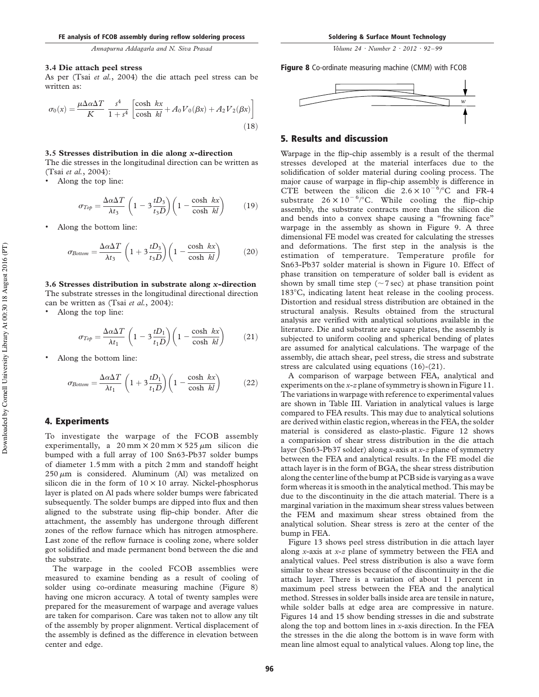Volume 24 · Number 2 · 2012 · 92 –99

#### 3.4 Die attach peel stress

As per (Tsai et al., 2004) the die attach peel stress can be written as:

$$
\sigma_0(x) = \frac{\mu \Delta \alpha \Delta T}{K} \frac{s^4}{1 + s^4} \left[ \frac{\cosh kx}{\cosh kl} + A_0 V_0(\beta x) + A_2 V_2(\beta x) \right]
$$
\n(18)

#### 3.5 Stresses distribution in die along x-direction

The die stresses in the longitudinal direction can be written as (Tsai et al., 2004):

. Along the top line:

$$
\sigma_{Top} = \frac{\Delta \alpha \Delta T}{\lambda t_3} \left( 1 - 3 \frac{t D_3}{t_3 D} \right) \left( 1 - \frac{\cosh kx}{\cosh kl} \right) \tag{19}
$$

. Along the bottom line:

$$
\sigma_{Bottom} = \frac{\Delta \alpha \Delta T}{\lambda t_3} \left( 1 + 3 \frac{tD_3}{t_3 D} \right) \left( 1 - \frac{\cosh kx}{\cosh kl} \right) \tag{20}
$$

3.6 Stresses distribution in substrate along x-direction The substrate stresses in the longitudinal directional direction can be written as (Tsai et al., 2004):

. Along the top line:

$$
\sigma_{Top} = \frac{\Delta \alpha \Delta T}{\lambda t_1} \left( 1 - 3 \frac{t D_1}{t_1 D} \right) \left( 1 - \frac{\cosh \, kx}{\cosh \, kl} \right) \tag{21}
$$

. Along the bottom line:

$$
\sigma_{Bottom} = \frac{\Delta \alpha \Delta T}{\lambda t_1} \left( 1 + 3 \frac{tD_1}{t_1 D} \right) \left( 1 - \frac{\cosh kx}{\cosh kl} \right) \tag{22}
$$

#### 4. Experiments

To investigate the warpage of the FCOB assembly experimentally, a  $20 \text{ mm} \times 20 \text{ mm} \times 525 \mu \text{m}$  silicon die bumped with a full array of 100 Sn63-Pb37 solder bumps of diameter 1.5 mm with a pitch 2 mm and standoff height  $250 \mu m$  is considered. Aluminum (Al) was metalized on silicon die in the form of  $10 \times 10$  array. Nickel-phosphorus layer is plated on Al pads where solder bumps were fabricated subsequently. The solder bumps are dipped into flux and then aligned to the substrate using flip-chip bonder. After die attachment, the assembly has undergone through different zones of the reflow furnace which has nitrogen atmosphere. Last zone of the reflow furnace is cooling zone, where solder got solidified and made permanent bond between the die and the substrate.

The warpage in the cooled FCOB assemblies were measured to examine bending as a result of cooling of solder using co-ordinate measuring machine (Figure 8) having one micron accuracy. A total of twenty samples were prepared for the measurement of warpage and average values are taken for comparison. Care was taken not to allow any tilt of the assembly by proper alignment. Vertical displacement of the assembly is defined as the difference in elevation between center and edge.

Figure 8 Co-ordinate measuring machine (CMM) with FCOB



#### 5. Results and discussion

Warpage in the flip-chip assembly is a result of the thermal stresses developed at the material interfaces due to the solidification of solder material during cooling process. The major cause of warpage in flip-chip assembly is difference in CTE between the silicon die  $2.6 \times 10^{-6}$ /°C and FR-4 substrate  $26 \times 10^{-6}$ /°C. While cooling the flip-chip assembly, the substrate contracts more than the silicon die and bends into a convex shape causing a "frowning face" warpage in the assembly as shown in Figure 9. A three dimensional FE model was created for calculating the stresses and deformations. The first step in the analysis is the estimation of temperature. Temperature profile for Sn63-Pb37 solder material is shown in Figure 10. Effect of phase transition on temperature of solder ball is evident as shown by small time step ( $\sim$ 7 sec) at phase transition point 183<sup>°</sup>C, indicating latent heat release in the cooling process. Distortion and residual stress distribution are obtained in the structural analysis. Results obtained from the structural analysis are verified with analytical solutions available in the literature. Die and substrate are square plates, the assembly is subjected to uniform cooling and spherical bending of plates are assumed for analytical calculations. The warpage of the assembly, die attach shear, peel stress, die stress and substrate stress are calculated using equations (16)-(21).

A comparison of warpage between FEA, analytical and experiments on the x-z plane of symmetry is shown in Figure 11. The variations in warpage with reference to experimental values are shown in Table III. Variation in analytical values is large compared to FEA results. This may due to analytical solutions are derived within elastic region, whereas in the FEA, the solder material is considered as elasto-plastic. Figure 12 shows a comparision of shear stress distribution in the die attach layer (Sn63-Pb37 solder) along x-axis at  $x$ -z plane of symmetry between the FEA and analytical results. In the FE model die attach layer is in the form of BGA, the shear stress distribution along the center line of the bump at PCB side is varying as a wave form whereas it is smooth in the analytical method. This may be due to the discontinuity in the die attach material. There is a marginal variation in the maximum shear stress values between the FEM and maximum shear stress obtained from the analytical solution. Shear stress is zero at the center of the bump in FEA.

Figure 13 shows peel stress distribution in die attach layer along *x*-axis at  $x$ - $z$  plane of symmetry between the FEA and analytical values. Peel stress distribution is also a wave form similar to shear stresses because of the discontinuity in the die attach layer. There is a variation of about 11 percent in maximum peel stress between the FEA and the analytical method. Stresses in solder balls inside area are tensile in nature, while solder balls at edge area are compressive in nature. Figures 14 and 15 show bending stresses in die and substrate along the top and bottom lines in  $x$ -axis direction. In the FEA the stresses in the die along the bottom is in wave form with mean line almost equal to analytical values. Along top line, the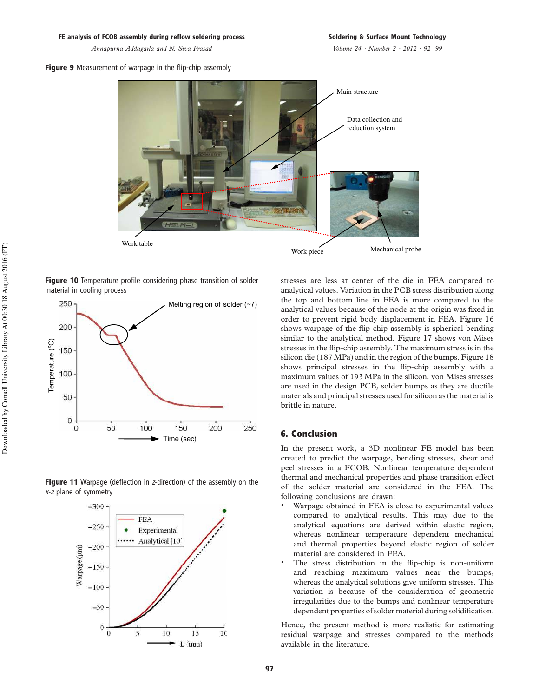#### Figure 9 Measurement of warpage in the flip-chip assembly



Figure 10 Temperature profile considering phase transition of solder material in cooling process



Figure 11 Warpage (deflection in z-direction) of the assembly on the <sup>x</sup>-<sup>z</sup> plane of symmetry



stresses are less at center of the die in FEA compared to analytical values. Variation in the PCB stress distribution along the top and bottom line in FEA is more compared to the analytical values because of the node at the origin was fixed in order to prevent rigid body displacement in FEA. Figure 16 shows warpage of the flip-chip assembly is spherical bending similar to the analytical method. Figure 17 shows von Mises stresses in the flip-chip assembly. The maximum stress is in the silicon die (187MPa) and in the region of the bumps. Figure 18 shows principal stresses in the flip-chip assembly with a maximum values of 193MPa in the silicon. von Mises stresses are used in the design PCB, solder bumps as they are ductile materials and principal stresses used for silicon as the material is brittle in nature.

#### 6. Conclusion

In the present work, a 3D nonlinear FE model has been created to predict the warpage, bending stresses, shear and peel stresses in a FCOB. Nonlinear temperature dependent thermal and mechanical properties and phase transition effect of the solder material are considered in the FEA. The following conclusions are drawn:

- . Warpage obtained in FEA is close to experimental values compared to analytical results. This may due to the analytical equations are derived within elastic region, whereas nonlinear temperature dependent mechanical and thermal properties beyond elastic region of solder material are considered in FEA.
- . The stress distribution in the flip-chip is non-uniform and reaching maximum values near the bumps, whereas the analytical solutions give uniform stresses. This variation is because of the consideration of geometric irregularities due to the bumps and nonlinear temperature dependent properties of solder material during solidification.

Hence, the present method is more realistic for estimating residual warpage and stresses compared to the methods available in the literature.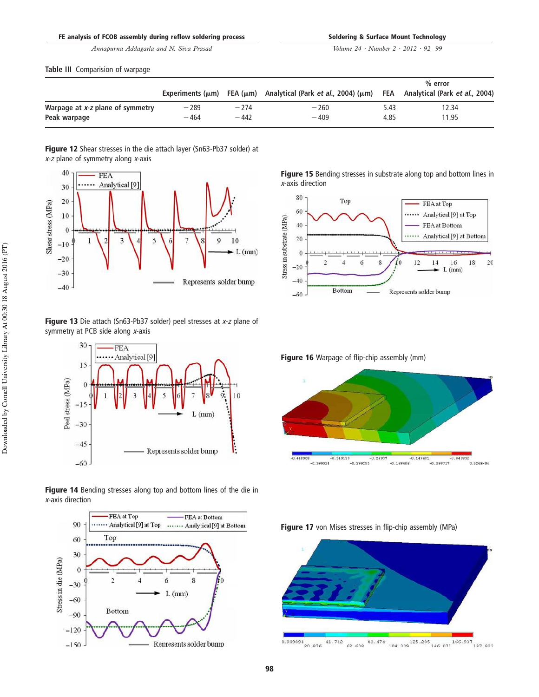Volume 24 · Number 2 · 2012 · 92 –99

Table III Comparision of warpage

|                                  |        |        |                                                                                         | $%$ error |                                    |
|----------------------------------|--------|--------|-----------------------------------------------------------------------------------------|-----------|------------------------------------|
|                                  |        |        | Experiments ( $\mu$ m) FEA ( $\mu$ m) Analytical (Park <i>et al.</i> , 2004) ( $\mu$ m) |           | FEA Analytical (Park et al., 2004) |
| Warpage at x-z plane of symmetry | $-289$ | $-274$ | $-260$                                                                                  | 5.43      | 12.34                              |
| Peak warpage                     | $-464$ | $-442$ | $-409$                                                                                  | 4.85      | 11.95                              |

Figure 12 Shear stresses in the die attach layer (Sn63-Pb37 solder) at  $x$ -z plane of symmetry along  $x$ -axis



Figure 13 Die attach (Sn63-Pb37 solder) peel stresses at x-z plane of symmetry at PCB side along  $x$ -axis



Figure 14 Bending stresses along top and bottom lines of the die in <sup>x</sup>-axis direction



Figure 15 Bending stresses in substrate along top and bottom lines in <sup>x</sup>-axis direction



Figure 16 Warpage of flip-chip assembly (mm)







 $\begin{array}{r} 0.009894 \ 20.876 \ 41.742 \ 62.608 \ 83.474 \ 104.339 \ 125.205 \ 146.071 \ 166.937 \ 187.803 \end{array}$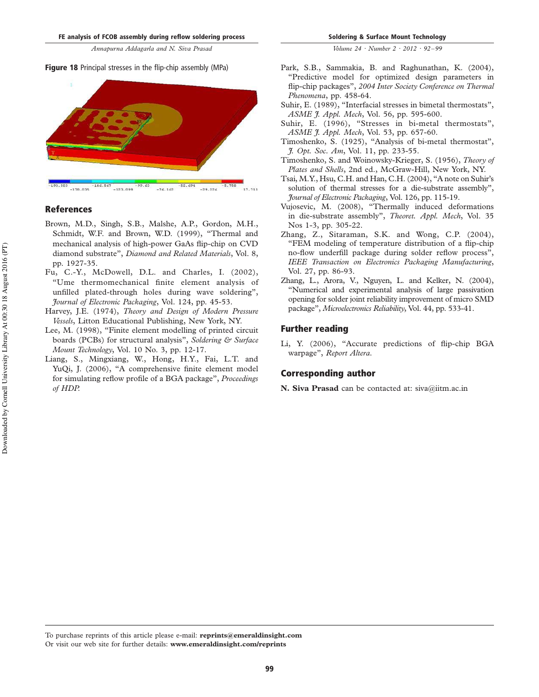#### Figure 18 Principal stresses in the flip-chip assembly (MPa)



#### References

- Brown, M.D., Singh, S.B., Malshe, A.P., Gordon, M.H., Schmidt, W.F. and Brown, W.D. (1999), "Thermal and mechanical analysis of high-power GaAs flip-chip on CVD diamond substrate", Diamond and Related Materials, Vol. 8, pp. 1927-35.
- Fu, C.-Y., McDowell, D.L. and Charles, I. (2002), "Ume thermomechanical finite element analysis of unfilled plated-through holes during wave soldering", Journal of Electronic Packaging, Vol. 124, pp. 45-53.
- Harvey, J.E. (1974), Theory and Design of Modern Pressure Vessels, Litton Educational Publishing, New York, NY.
- Lee, M. (1998), "Finite element modelling of printed circuit boards (PCBs) for structural analysis", Soldering & Surface Mount Technology, Vol. 10 No. 3, pp. 12-17.
- Liang, S., Mingxiang, W., Hong, H.Y., Fai, L.T. and YuQi, J. (2006), "A comprehensive finite element model for simulating reflow profile of a BGA package", Proceedings of HDP.
- Park, S.B., Sammakia, B. and Raghunathan, K. (2004), "Predictive model for optimized design parameters in flip-chip packages", 2004 Inter Society Conference on Thermal Phenomena, pp. 458-64.
- Suhir, E. (1989), "Interfacial stresses in bimetal thermostats", ASME J. Appl. Mech, Vol. 56, pp. 595-600.
- Suhir, E. (1996), "Stresses in bi-metal thermostats", ASME *J. Appl. Mech*, Vol. 53, pp. 657-60.
- Timoshenko, S. (1925), "Analysis of bi-metal thermostat", J. Opt. Soc. Am, Vol. 11, pp. 233-55.
- Timoshenko, S. and Woinowsky-Krieger, S. (1956), Theory of Plates and Shells, 2nd ed., McGraw-Hill, New York, NY.
- Tsai, M.Y., Hsu, C.H. and Han, C.H. (2004), "A note on Suhir's solution of thermal stresses for a die-substrate assembly", Journal of Electronic Packaging, Vol. 126, pp. 115-19.
- Vujosevic, M. (2008), "Thermally induced deformations in die-substrate assembly", Theoret. Appl. Mech, Vol. 35 Nos 1-3, pp. 305-22.
- Zhang, Z., Sitaraman, S.K. and Wong, C.P. (2004), "FEM modeling of temperature distribution of a flip-chip no-flow underfill package during solder reflow process", IEEE Transaction on Electronics Packaging Manufacturing, Vol. 27, pp. 86-93.
- Zhang, L., Arora, V., Nguyen, L. and Kelker, N. (2004), "Numerical and experimental analysis of large passivation opening for solder joint reliability improvement of micro SMD package", Microelectronics Reliability, Vol. 44, pp. 533-41.

#### Further reading

Li, Y. (2006), "Accurate predictions of flip-chip BGA warpage", Report Altera.

#### Corresponding author

N. Siva Prasad can be contacted at: siva@iitm.ac.in

To purchase reprints of this article please e-mail: reprints@emeraldinsight.com

Or visit our web site for further details: www.emeraldinsight.com/reprints